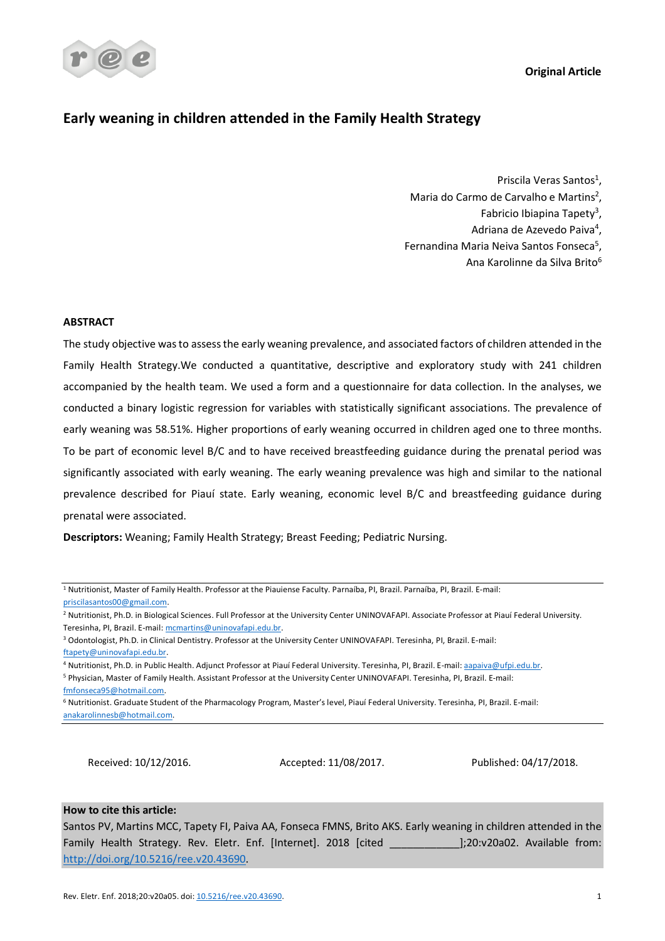**Original Article**



# **Early weaning in children attended in the Family Health Strategy**

Priscila Veras Santos<sup>1</sup>. Maria do Carmo de Carvalho e Martins<sup>2</sup>, Fabricio Ibiapina Tapety<sup>3</sup>, Adriana de Azevedo Paiva<sup>4</sup>, Fernandina Maria Neiva Santos Fonseca5, Ana Karolinne da Silva Brito6

# **ABSTRACT**

The study objective was to assess the early weaning prevalence, and associated factors of children attended in the Family Health Strategy.We conducted a quantitative, descriptive and exploratory study with 241 children accompanied by the health team. We used a form and a questionnaire for data collection. In the analyses, we conducted a binary logistic regression for variables with statistically significant associations. The prevalence of early weaning was 58.51%. Higher proportions of early weaning occurred in children aged one to three months. To be part of economic level B/C and to have received breastfeeding guidance during the prenatal period was significantly associated with early weaning. The early weaning prevalence was high and similar to the national prevalence described for Piauí state. Early weaning, economic level B/C and breastfeeding guidance during prenatal were associated.

**Descriptors:** Weaning; Family Health Strategy; Breast Feeding; Pediatric Nursing.

<sup>1</sup> Nutritionist, Master of Family Health. Professor at the Piauiense Faculty. Parnaíba, PI, Brazil. Parnaíba, PI, Brazil. E-mail: priscilasantos00@gmail.com.

<sup>2</sup> Nutritionist, Ph.D. in Biological Sciences. Full Professor at the University Center UNINOVAFAPI. Associate Professor at Piauí Federal University.

<sup>4</sup> Nutritionist, Ph.D. in Public Health. Adjunct Professor at Piauí Federal University. Teresinha, PI, Brazil. E-mail: aapaiva@ufpi.edu.br.

<sup>5</sup> Physician, Master of Family Health. Assistant Professor at the University Center UNINOVAFAPI. Teresinha, PI, Brazil. E-mail:

fmfonseca95@hotmail.com.

Received: 10/12/2016. Accepted: 11/08/2017. Published: 04/17/2018.

# **How to cite this article:**

Santos PV, Martins MCC, Tapety FI, Paiva AA, Fonseca FMNS, Brito AKS. Early weaning in children attended in the Family Health Strategy. Rev. Eletr. Enf. [Internet]. 2018 [cited \_\_\_\_\_\_\_\_\_\_\_\_];20:v20a02. Available from: http://doi.org/10.5216/ree.v20.43690.

Teresinha, PI, Brazil. E-mail: mcmartins@uninovafapi.edu.br.

<sup>3</sup> Odontologist, Ph.D. in Clinical Dentistry. Professor at the University Center UNINOVAFAPI. Teresinha, PI, Brazil. E-mail: ftapety@uninovafapi.edu.br.

<sup>6</sup> Nutritionist. Graduate Student of the Pharmacology Program, Master's level, Piauí Federal University. Teresinha, PI, Brazil. E-mail: anakarolinnesb@hotmail.com.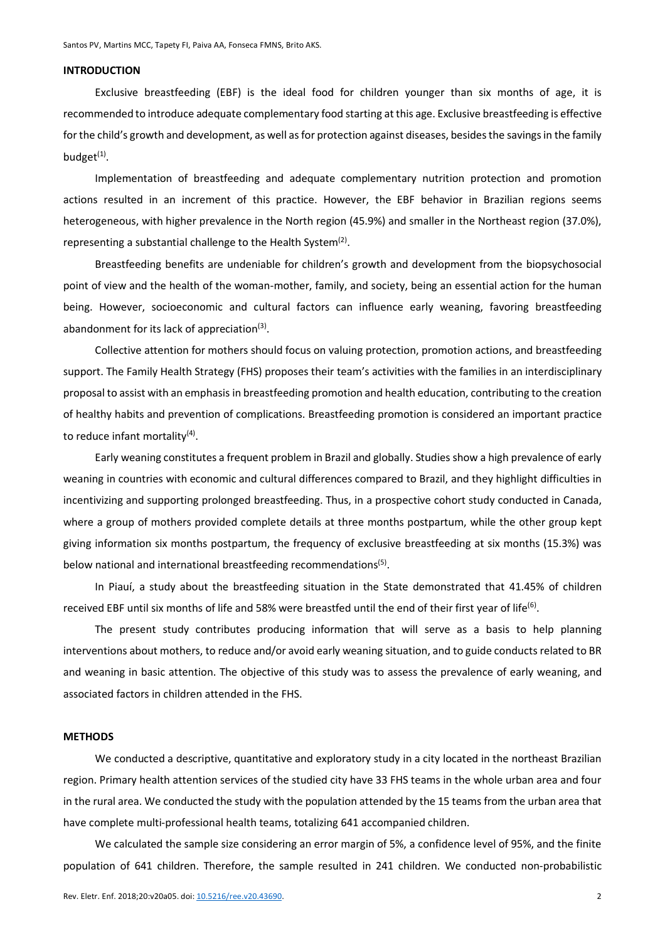# **INTRODUCTION**

Exclusive breastfeeding (EBF) is the ideal food for children younger than six months of age, it is recommended to introduce adequate complementary food starting at this age. Exclusive breastfeeding is effective for the child's growth and development, as well as for protection against diseases, besides the savings in the family budget $(1)$ .

Implementation of breastfeeding and adequate complementary nutrition protection and promotion actions resulted in an increment of this practice. However, the EBF behavior in Brazilian regions seems heterogeneous, with higher prevalence in the North region (45.9%) and smaller in the Northeast region (37.0%), representing a substantial challenge to the Health System<sup>(2)</sup>.

Breastfeeding benefits are undeniable for children's growth and development from the biopsychosocial point of view and the health of the woman-mother, family, and society, being an essential action for the human being. However, socioeconomic and cultural factors can influence early weaning, favoring breastfeeding abandonment for its lack of appreciation $(3)$ .

Collective attention for mothers should focus on valuing protection, promotion actions, and breastfeeding support. The Family Health Strategy (FHS) proposes their team's activities with the families in an interdisciplinary proposal to assist with an emphasis in breastfeeding promotion and health education, contributing to the creation of healthy habits and prevention of complications. Breastfeeding promotion is considered an important practice to reduce infant mortality $(4)$ .

Early weaning constitutes a frequent problem in Brazil and globally. Studies show a high prevalence of early weaning in countries with economic and cultural differences compared to Brazil, and they highlight difficulties in incentivizing and supporting prolonged breastfeeding. Thus, in a prospective cohort study conducted in Canada, where a group of mothers provided complete details at three months postpartum, while the other group kept giving information six months postpartum, the frequency of exclusive breastfeeding at six months (15.3%) was below national and international breastfeeding recommendations<sup>(5)</sup>.

In Piauí, a study about the breastfeeding situation in the State demonstrated that 41.45% of children received EBF until six months of life and 58% were breastfed until the end of their first year of life<sup>(6)</sup>.

The present study contributes producing information that will serve as a basis to help planning interventions about mothers, to reduce and/or avoid early weaning situation, and to guide conducts related to BR and weaning in basic attention. The objective of this study was to assess the prevalence of early weaning, and associated factors in children attended in the FHS.

### **METHODS**

We conducted a descriptive, quantitative and exploratory study in a city located in the northeast Brazilian region. Primary health attention services of the studied city have 33 FHS teams in the whole urban area and four in the rural area. We conducted the study with the population attended by the 15 teams from the urban area that have complete multi-professional health teams, totalizing 641 accompanied children.

We calculated the sample size considering an error margin of 5%, a confidence level of 95%, and the finite population of 641 children. Therefore, the sample resulted in 241 children. We conducted non-probabilistic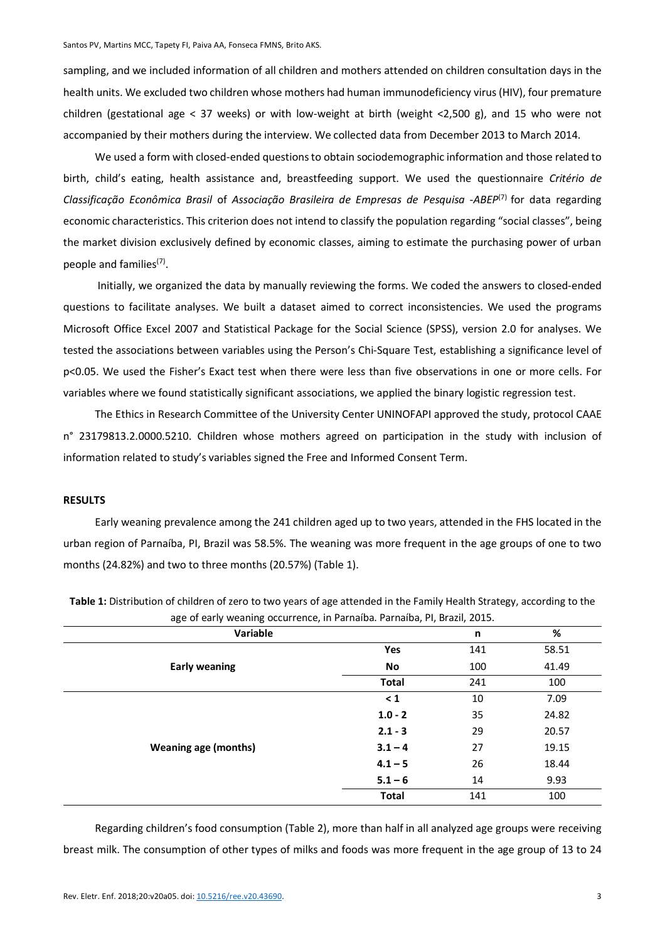sampling, and we included information of all children and mothers attended on children consultation days in the health units. We excluded two children whose mothers had human immunodeficiency virus (HIV), four premature children (gestational age < 37 weeks) or with low-weight at birth (weight <2,500 g), and 15 who were not accompanied by their mothers during the interview. We collected data from December 2013 to March 2014.

We used a form with closed-ended questions to obtain sociodemographic information and those related to birth, child's eating, health assistance and, breastfeeding support. We used the questionnaire *Critério de Classificação Econômica Brasil* of *Associação Brasileira de Empresas de Pesquisa -ABEP*(7) for data regarding economic characteristics. This criterion does not intend to classify the population regarding "social classes", being the market division exclusively defined by economic classes, aiming to estimate the purchasing power of urban people and families<sup>(7)</sup>.

Initially, we organized the data by manually reviewing the forms. We coded the answers to closed-ended questions to facilitate analyses. We built a dataset aimed to correct inconsistencies. We used the programs Microsoft Office Excel 2007 and Statistical Package for the Social Science (SPSS), version 2.0 for analyses. We tested the associations between variables using the Person's Chi-Square Test, establishing a significance level of p<0.05. We used the Fisher's Exact test when there were less than five observations in one or more cells. For variables where we found statistically significant associations, we applied the binary logistic regression test.

The Ethics in Research Committee of the University Center UNINOFAPI approved the study, protocol CAAE n° 23179813.2.0000.5210. Children whose mothers agreed on participation in the study with inclusion of information related to study's variables signed the Free and Informed Consent Term.

# **RESULTS**

Early weaning prevalence among the 241 children aged up to two years, attended in the FHS located in the urban region of Parnaíba, PI, Brazil was 58.5%. The weaning was more frequent in the age groups of one to two months (24.82%) and two to three months (20.57%) (Table 1).

| Variable                    |              | n                                                                                                                    | %     |
|-----------------------------|--------------|----------------------------------------------------------------------------------------------------------------------|-------|
|                             | Yes          | 141                                                                                                                  | 58.51 |
| <b>Early weaning</b>        | No           | 100                                                                                                                  | 41.49 |
|                             | <b>Total</b> | 241<br>10<br>$\leq 1$<br>35<br>$1.0 - 2$<br>29<br>$2.1 - 3$<br>27<br>$3.1 - 4$<br>26<br>$4.1 - 5$<br>$5.1 - 6$<br>14 | 100   |
|                             |              |                                                                                                                      | 7.09  |
|                             |              |                                                                                                                      | 24.82 |
|                             |              |                                                                                                                      | 20.57 |
| <b>Weaning age (months)</b> |              |                                                                                                                      | 19.15 |
|                             |              |                                                                                                                      | 18.44 |
|                             |              |                                                                                                                      | 9.93  |
|                             | <b>Total</b> | 141                                                                                                                  | 100   |

**Table 1:** Distribution of children of zero to two years of age attended in the Family Health Strategy, according to the age of early weaning occurrence, in Parnaíba. Parnaíba, PI, Brazil, 2015.

Regarding children's food consumption (Table 2), more than half in all analyzed age groups were receiving breast milk. The consumption of other types of milks and foods was more frequent in the age group of 13 to 24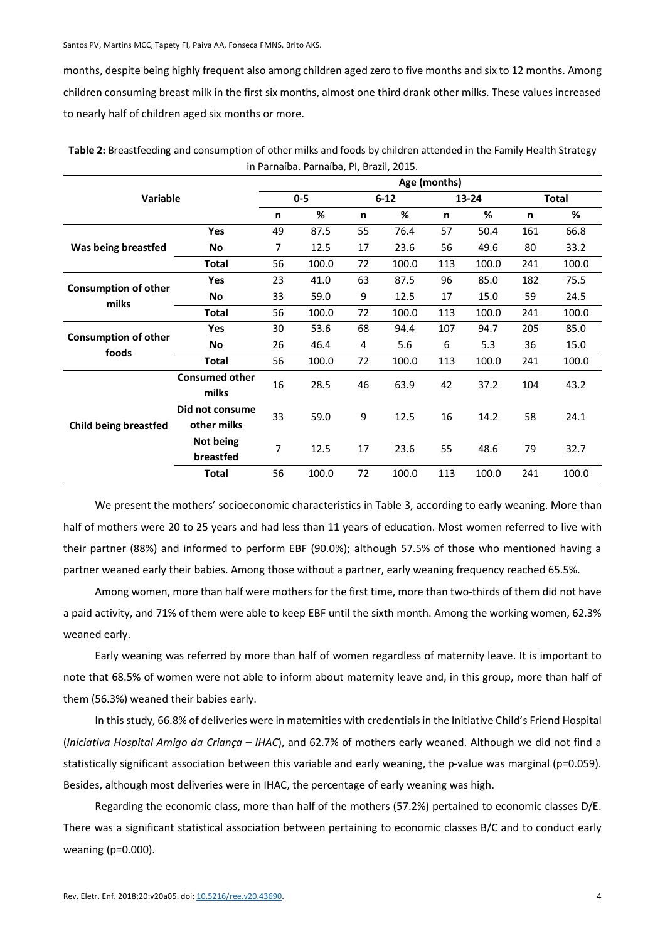months, despite being highly frequent also among children aged zero to five months and six to 12 months. Among children consuming breast milk in the first six months, almost one third drank other milks. These values increased to nearly half of children aged six months or more.

|                                      |                                |         | Age (months) |          |       |       |       |              |       |  |
|--------------------------------------|--------------------------------|---------|--------------|----------|-------|-------|-------|--------------|-------|--|
| <b>Variable</b>                      |                                | $0 - 5$ |              | $6 - 12$ |       | 13-24 |       | <b>Total</b> |       |  |
|                                      |                                | n       | %            | n        | %     | n     | %     | n            | %     |  |
|                                      | Yes                            | 49      | 87.5         | 55       | 76.4  | 57    | 50.4  | 161          | 66.8  |  |
| Was being breastfed                  | No                             | 7       | 12.5         | 17       | 23.6  | 56    | 49.6  | 80           | 33.2  |  |
|                                      | <b>Total</b>                   | 56      | 100.0        | 72       | 100.0 | 113   | 100.0 | 241          | 100.0 |  |
| <b>Consumption of other</b><br>milks | <b>Yes</b>                     | 23      | 41.0         | 63       | 87.5  | 96    | 85.0  | 182          | 75.5  |  |
|                                      | No                             | 33      | 59.0         | 9        | 12.5  | 17    | 15.0  | 59           | 24.5  |  |
|                                      | <b>Total</b>                   | 56      | 100.0        | 72       | 100.0 | 113   | 100.0 | 241          | 100.0 |  |
|                                      | Yes                            | 30      | 53.6         | 68       | 94.4  | 107   | 94.7  | 205          | 85.0  |  |
| <b>Consumption of other</b>          | No                             | 26      | 46.4         | 4        | 5.6   | 6     | 5.3   | 36           | 15.0  |  |
| foods                                | <b>Total</b>                   | 56      | 100.0        | 72       | 100.0 | 113   | 100.0 | 241          | 100.0 |  |
| <b>Child being breastfed</b>         | <b>Consumed other</b><br>milks | 16      | 28.5         | 46       | 63.9  | 42    | 37.2  | 104          | 43.2  |  |
|                                      | Did not consume<br>other milks | 33      | 59.0         | 9        | 12.5  | 16    | 14.2  | 58           | 24.1  |  |
|                                      | Not being<br>breastfed         | 7       | 12.5         | 17       | 23.6  | 55    | 48.6  | 79           | 32.7  |  |
|                                      | <b>Total</b>                   | 56      | 100.0        | 72       | 100.0 | 113   | 100.0 | 241          | 100.0 |  |

**Table 2:** Breastfeeding and consumption of other milks and foods by children attended in the Family Health Strategy in Parnaíba. Parnaíba, PI, Brazil, 2015.

We present the mothers' socioeconomic characteristics in Table 3, according to early weaning. More than half of mothers were 20 to 25 years and had less than 11 years of education. Most women referred to live with their partner (88%) and informed to perform EBF (90.0%); although 57.5% of those who mentioned having a partner weaned early their babies. Among those without a partner, early weaning frequency reached 65.5%.

Among women, more than half were mothers for the first time, more than two-thirds of them did not have a paid activity, and 71% of them were able to keep EBF until the sixth month. Among the working women, 62.3% weaned early.

Early weaning was referred by more than half of women regardless of maternity leave. It is important to note that 68.5% of women were not able to inform about maternity leave and, in this group, more than half of them (56.3%) weaned their babies early.

In this study, 66.8% of deliveries were in maternities with credentials in the Initiative Child's Friend Hospital (*Iniciativa Hospital Amigo da Criança – IHAC*), and 62.7% of mothers early weaned. Although we did not find a statistically significant association between this variable and early weaning, the p-value was marginal (p=0.059). Besides, although most deliveries were in IHAC, the percentage of early weaning was high.

Regarding the economic class, more than half of the mothers (57.2%) pertained to economic classes D/E. There was a significant statistical association between pertaining to economic classes B/C and to conduct early weaning (p=0.000).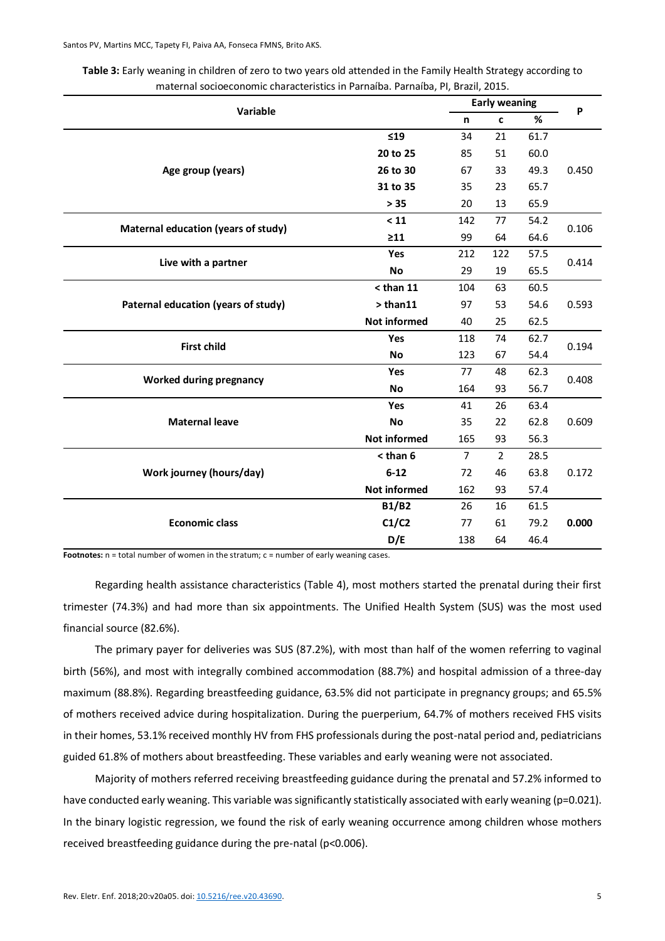| Variable                            |                     | <b>Early weaning</b> |                |      |       |  |
|-------------------------------------|---------------------|----------------------|----------------|------|-------|--|
|                                     |                     | n                    | $\mathbf c$    | %    | P     |  |
|                                     | ≤19                 | 34                   | 21             | 61.7 |       |  |
| Age group (years)                   | 20 to 25            | 85                   | 51             | 60.0 |       |  |
|                                     | 26 to 30            | 67                   | 33             | 49.3 | 0.450 |  |
|                                     | 31 to 35            | 35                   | 23             | 65.7 |       |  |
|                                     | $> 35$              | 20                   | 13             | 65.9 |       |  |
| Maternal education (years of study) | < 11                | 142                  | 77             | 54.2 | 0.106 |  |
|                                     | $\geq 11$           | 99                   | 64             | 64.6 |       |  |
| Live with a partner                 | Yes                 | 212                  | 122            | 57.5 | 0.414 |  |
|                                     | <b>No</b>           | 29                   | 19             | 65.5 |       |  |
|                                     | $<$ than 11         | 104                  | 63             | 60.5 |       |  |
| Paternal education (years of study) | > than11            | 97                   | 53             | 54.6 | 0.593 |  |
|                                     | <b>Not informed</b> | 40                   | 25             | 62.5 |       |  |
| <b>First child</b>                  | Yes                 | 118                  | 74             | 62.7 | 0.194 |  |
|                                     | No                  | 123                  | 67             | 54.4 |       |  |
| <b>Worked during pregnancy</b>      | Yes                 | 77                   | 48             | 62.3 | 0.408 |  |
|                                     | <b>No</b>           | 164                  | 93             | 56.7 |       |  |
|                                     | Yes                 | 41                   | 26             | 63.4 |       |  |
| <b>Maternal leave</b>               | No                  | 35                   | 22             | 62.8 | 0.609 |  |
|                                     | <b>Not informed</b> | 165                  | 93             | 56.3 |       |  |
|                                     | $<$ than 6          | $\overline{7}$       | $\overline{2}$ | 28.5 |       |  |
| Work journey (hours/day)            | $6 - 12$            | 72                   | 46             | 63.8 | 0.172 |  |
|                                     | <b>Not informed</b> | 162                  | 93             | 57.4 |       |  |
|                                     | <b>B1/B2</b>        | 26                   | 16             | 61.5 |       |  |
| <b>Economic class</b>               | C1/C2               | 77                   | 61             | 79.2 | 0.000 |  |
|                                     | D/E                 | 138                  | 64             | 46.4 |       |  |

| Table 3: Early weaning in children of zero to two years old attended in the Family Health Strategy according to |
|-----------------------------------------------------------------------------------------------------------------|
| maternal socioeconomic characteristics in Parnaíba. Parnaíba, PI, Brazil, 2015.                                 |

Footnotes: n = total number of women in the stratum; c = number of early weaning cases.

Regarding health assistance characteristics (Table 4), most mothers started the prenatal during their first trimester (74.3%) and had more than six appointments. The Unified Health System (SUS) was the most used financial source (82.6%).

The primary payer for deliveries was SUS (87.2%), with most than half of the women referring to vaginal birth (56%), and most with integrally combined accommodation (88.7%) and hospital admission of a three-day maximum (88.8%). Regarding breastfeeding guidance, 63.5% did not participate in pregnancy groups; and 65.5% of mothers received advice during hospitalization. During the puerperium, 64.7% of mothers received FHS visits in their homes, 53.1% received monthly HV from FHS professionals during the post-natal period and, pediatricians guided 61.8% of mothers about breastfeeding. These variables and early weaning were not associated.

Majority of mothers referred receiving breastfeeding guidance during the prenatal and 57.2% informed to have conducted early weaning. This variable was significantly statistically associated with early weaning (p=0.021). In the binary logistic regression, we found the risk of early weaning occurrence among children whose mothers received breastfeeding guidance during the pre-natal (p<0.006).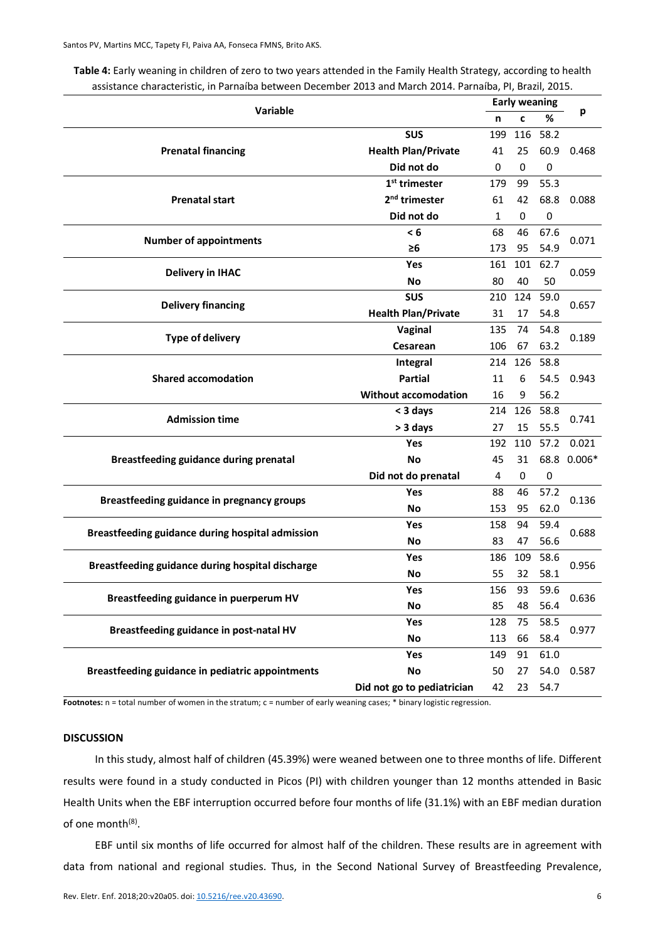| Variable                                         |                             | <b>Early weaning</b> |     |             |          |  |
|--------------------------------------------------|-----------------------------|----------------------|-----|-------------|----------|--|
|                                                  |                             | n                    | c   | %           | р        |  |
|                                                  | <b>SUS</b>                  | 199                  | 116 | 58.2        |          |  |
| <b>Prenatal financing</b>                        | <b>Health Plan/Private</b>  | 41                   | 25  | 60.9        | 0.468    |  |
|                                                  | Did not do                  | 0                    | 0   | $\mathbf 0$ |          |  |
|                                                  | $1st$ trimester             | 179                  | 99  | 55.3        |          |  |
| <b>Prenatal start</b>                            | 2 <sup>nd</sup> trimester   | 61                   | 42  | 68.8        | 0.088    |  |
|                                                  | Did not do                  | 1                    | 0   | 0           |          |  |
|                                                  | < 6                         | 68                   | 46  | 67.6        |          |  |
| <b>Number of appointments</b>                    | ≥6                          | 173                  | 95  | 54.9        | 0.071    |  |
|                                                  | Yes                         | 161                  | 101 | 62.7        |          |  |
| <b>Delivery in IHAC</b>                          | No                          | 80                   | 40  | 50          | 0.059    |  |
| <b>Delivery financing</b>                        | <b>SUS</b>                  | 210                  | 124 | 59.0        |          |  |
|                                                  | <b>Health Plan/Private</b>  | 31                   | 17  | 54.8        | 0.657    |  |
|                                                  | Vaginal                     | 135                  | 74  | 54.8        |          |  |
| <b>Type of delivery</b>                          | Cesarean                    | 106                  | 67  | 63.2        | 0.189    |  |
|                                                  | Integral                    | 214                  | 126 | 58.8        |          |  |
| <b>Shared accomodation</b>                       | <b>Partial</b>              | 11                   | 6   | 54.5        | 0.943    |  |
|                                                  | <b>Without accomodation</b> | 16                   | 9   | 56.2        |          |  |
|                                                  | < 3 days                    | 214                  | 126 | 58.8        |          |  |
| <b>Admission time</b>                            | > 3 days                    | 27                   | 15  | 55.5        | 0.741    |  |
|                                                  | Yes                         | 192                  | 110 | 57.2        | 0.021    |  |
| Breastfeeding guidance during prenatal           | <b>No</b>                   | 45                   | 31  | 68.8        | $0.006*$ |  |
|                                                  | Did not do prenatal         | 4                    | 0   | $\mathbf 0$ |          |  |
|                                                  | Yes                         | 88                   | 46  | 57.2        |          |  |
| Breastfeeding guidance in pregnancy groups       | <b>No</b>                   | 153                  | 95  | 62.0        | 0.136    |  |
|                                                  | Yes                         | 158                  | 94  | 59.4        |          |  |
| Breastfeeding guidance during hospital admission | <b>No</b>                   | 83                   | 47  | 56.6        | 0.688    |  |
|                                                  | Yes                         | 186                  | 109 | 58.6        |          |  |
| Breastfeeding guidance during hospital discharge | <b>No</b>                   | 55                   | 32  | 58.1        | 0.956    |  |
|                                                  | Yes                         | 156                  | 93  | 59.6        |          |  |
| Breastfeeding guidance in puerperum HV           | No                          | 85                   | 48  | 56.4        | 0.636    |  |
|                                                  | Yes                         | 128                  | 75  | 58.5        |          |  |
| Breastfeeding guidance in post-natal HV          | No                          | 113                  | 66  | 58.4        | 0.977    |  |
|                                                  | Yes                         | 149                  | 91  | 61.0        |          |  |
| Breastfeeding guidance in pediatric appointments | <b>No</b>                   | 50                   | 27  | 54.0        | 0.587    |  |
|                                                  | Did not go to pediatrician  | 42                   | 23  | 54.7        |          |  |

**Table 4:** Early weaning in children of zero to two years attended in the Family Health Strategy, according to health assistance characteristic, in Parnaíba between December 2013 and March 2014. Parnaíba, PI, Brazil, 2015.

Footnotes: n = total number of women in the stratum; c = number of early weaning cases; \* binary logistic regression.

#### **DISCUSSION**

In this study, almost half of children (45.39%) were weaned between one to three months of life. Different results were found in a study conducted in Picos (PI) with children younger than 12 months attended in Basic Health Units when the EBF interruption occurred before four months of life (31.1%) with an EBF median duration of one month<sup>(8)</sup>.

EBF until six months of life occurred for almost half of the children. These results are in agreement with data from national and regional studies. Thus, in the Second National Survey of Breastfeeding Prevalence,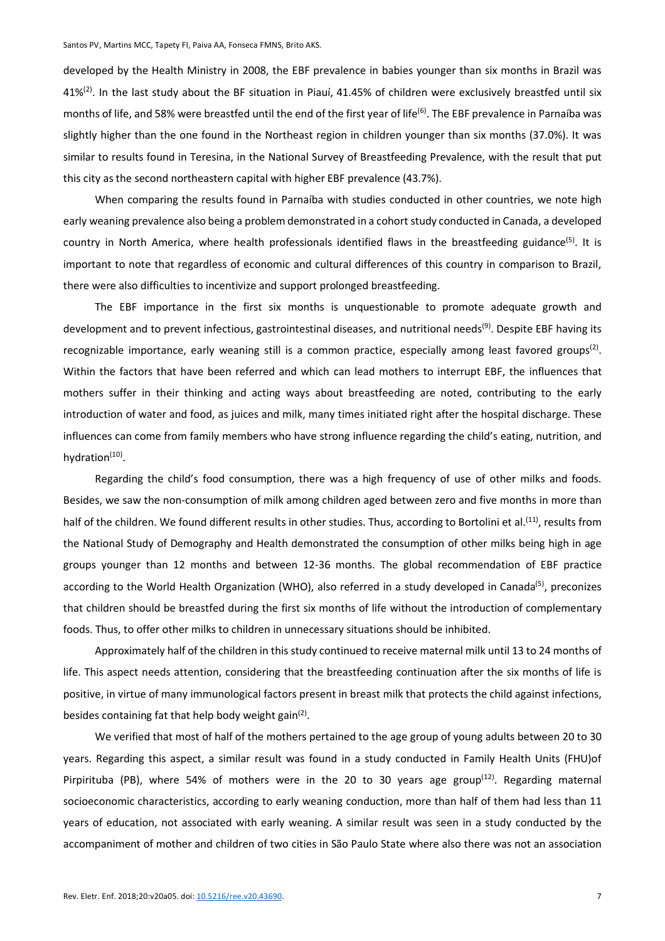developed by the Health Ministry in 2008, the EBF prevalence in babies younger than six months in Brazil was  $41\%/2$ . In the last study about the BF situation in Piauí,  $41.45\%$  of children were exclusively breastfed until six months of life, and 58% were breastfed until the end of the first year of life<sup>(6)</sup>. The EBF prevalence in Parnaíba was slightly higher than the one found in the Northeast region in children younger than six months (37.0%). It was similar to results found in Teresina, in the National Survey of Breastfeeding Prevalence, with the result that put this city as the second northeastern capital with higher EBF prevalence (43.7%).

When comparing the results found in Parnaíba with studies conducted in other countries, we note high early weaning prevalence also being a problem demonstrated in a cohort study conducted in Canada, a developed country in North America, where health professionals identified flaws in the breastfeeding guidance<sup>(5)</sup>. It is important to note that regardless of economic and cultural differences of this country in comparison to Brazil, there were also difficulties to incentivize and support prolonged breastfeeding.

The EBF importance in the first six months is unquestionable to promote adequate growth and development and to prevent infectious, gastrointestinal diseases, and nutritional needs<sup>(9)</sup>. Despite EBF having its recognizable importance, early weaning still is a common practice, especially among least favored groups<sup>(2)</sup>. Within the factors that have been referred and which can lead mothers to interrupt EBF, the influences that mothers suffer in their thinking and acting ways about breastfeeding are noted, contributing to the early introduction of water and food, as juices and milk, many times initiated right after the hospital discharge. These influences can come from family members who have strong influence regarding the child's eating, nutrition, and hydration<sup>(10)</sup>.

Regarding the child's food consumption, there was a high frequency of use of other milks and foods. Besides, we saw the non-consumption of milk among children aged between zero and five months in more than half of the children. We found different results in other studies. Thus, according to Bortolini et al.<sup>(11)</sup>, results from the National Study of Demography and Health demonstrated the consumption of other milks being high in age groups younger than 12 months and between 12-36 months. The global recommendation of EBF practice according to the World Health Organization (WHO), also referred in a study developed in Canada<sup>(5)</sup>, preconizes that children should be breastfed during the first six months of life without the introduction of complementary foods. Thus, to offer other milks to children in unnecessary situations should be inhibited.

Approximately half of the children in this study continued to receive maternal milk until 13 to 24 months of life. This aspect needs attention, considering that the breastfeeding continuation after the six months of life is positive, in virtue of many immunological factors present in breast milk that protects the child against infections, besides containing fat that help body weight gain<sup>(2)</sup>.

We verified that most of half of the mothers pertained to the age group of young adults between 20 to 30 years. Regarding this aspect, a similar result was found in a study conducted in Family Health Units (FHU)of Pirpirituba (PB), where 54% of mothers were in the 20 to 30 years age group<sup>(12)</sup>. Regarding maternal socioeconomic characteristics, according to early weaning conduction, more than half of them had less than 11 years of education, not associated with early weaning. A similar result was seen in a study conducted by the accompaniment of mother and children of two cities in São Paulo State where also there was not an association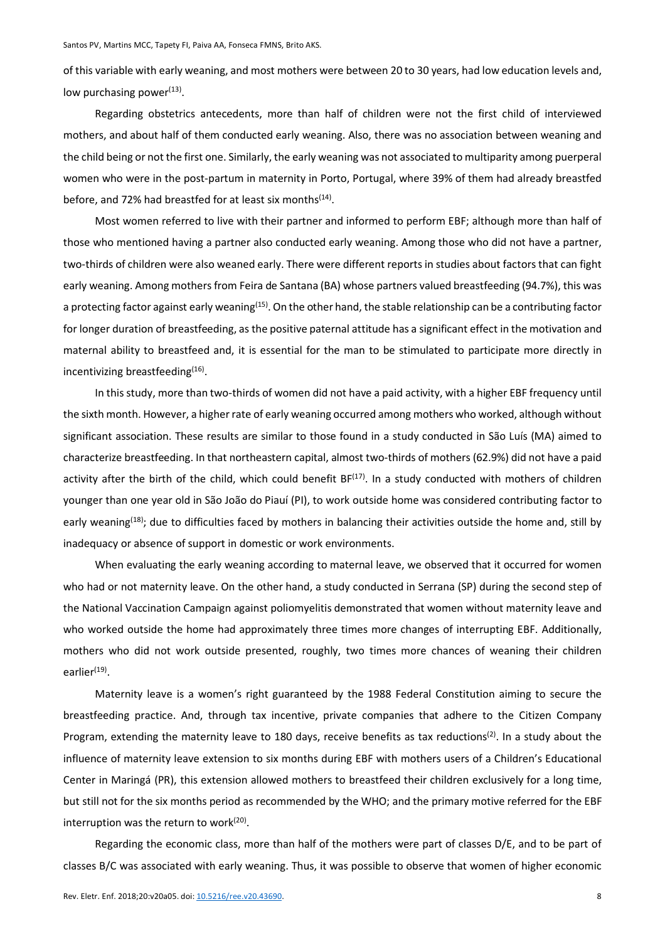of this variable with early weaning, and most mothers were between 20 to 30 years, had low education levels and, low purchasing power $(13)$ .

Regarding obstetrics antecedents, more than half of children were not the first child of interviewed mothers, and about half of them conducted early weaning. Also, there was no association between weaning and the child being or not the first one. Similarly, the early weaning was not associated to multiparity among puerperal women who were in the post-partum in maternity in Porto, Portugal, where 39% of them had already breastfed before, and 72% had breastfed for at least six months<sup>(14)</sup>.

Most women referred to live with their partner and informed to perform EBF; although more than half of those who mentioned having a partner also conducted early weaning. Among those who did not have a partner, two-thirds of children were also weaned early. There were different reports in studies about factors that can fight early weaning. Among mothers from Feira de Santana (BA) whose partners valued breastfeeding (94.7%), this was a protecting factor against early weaning<sup>(15)</sup>. On the other hand, the stable relationship can be a contributing factor for longer duration of breastfeeding, as the positive paternal attitude has a significant effect in the motivation and maternal ability to breastfeed and, it is essential for the man to be stimulated to participate more directly in incentivizing breastfeeding<sup>(16)</sup>.

In this study, more than two-thirds of women did not have a paid activity, with a higher EBF frequency until the sixth month. However, a higher rate of early weaning occurred among mothers who worked, although without significant association. These results are similar to those found in a study conducted in São Luís (MA) aimed to characterize breastfeeding. In that northeastern capital, almost two-thirds of mothers (62.9%) did not have a paid activity after the birth of the child, which could benefit  $BF^{(17)}$ . In a study conducted with mothers of children younger than one year old in São João do Piauí (PI), to work outside home was considered contributing factor to early weaning<sup>(18)</sup>; due to difficulties faced by mothers in balancing their activities outside the home and, still by inadequacy or absence of support in domestic or work environments.

When evaluating the early weaning according to maternal leave, we observed that it occurred for women who had or not maternity leave. On the other hand, a study conducted in Serrana (SP) during the second step of the National Vaccination Campaign against poliomyelitis demonstrated that women without maternity leave and who worked outside the home had approximately three times more changes of interrupting EBF. Additionally, mothers who did not work outside presented, roughly, two times more chances of weaning their children earlier<sup>(19)</sup>.

Maternity leave is a women's right guaranteed by the 1988 Federal Constitution aiming to secure the breastfeeding practice. And, through tax incentive, private companies that adhere to the Citizen Company Program, extending the maternity leave to 180 days, receive benefits as tax reductions<sup>(2)</sup>. In a study about the influence of maternity leave extension to six months during EBF with mothers users of a Children's Educational Center in Maringá (PR), this extension allowed mothers to breastfeed their children exclusively for a long time, but still not for the six months period as recommended by the WHO; and the primary motive referred for the EBF interruption was the return to work $(20)$ .

Regarding the economic class, more than half of the mothers were part of classes D/E, and to be part of classes B/C was associated with early weaning. Thus, it was possible to observe that women of higher economic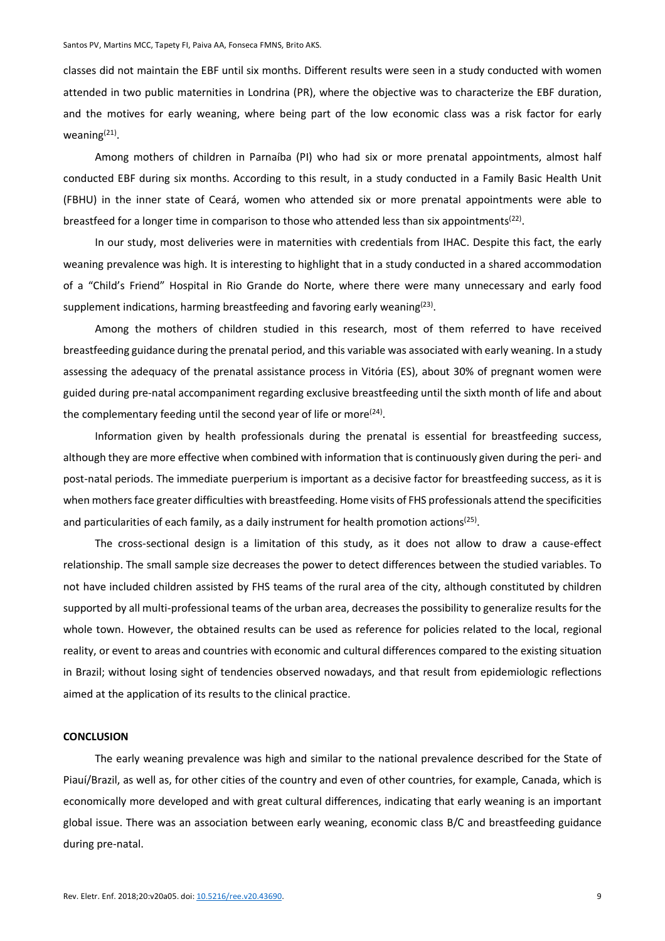classes did not maintain the EBF until six months. Different results were seen in a study conducted with women attended in two public maternities in Londrina (PR), where the objective was to characterize the EBF duration, and the motives for early weaning, where being part of the low economic class was a risk factor for early weaning(21).

Among mothers of children in Parnaíba (PI) who had six or more prenatal appointments, almost half conducted EBF during six months. According to this result, in a study conducted in a Family Basic Health Unit (FBHU) in the inner state of Ceará, women who attended six or more prenatal appointments were able to breastfeed for a longer time in comparison to those who attended less than six appointments<sup>(22)</sup>.

In our study, most deliveries were in maternities with credentials from IHAC. Despite this fact, the early weaning prevalence was high. It is interesting to highlight that in a study conducted in a shared accommodation of a "Child's Friend" Hospital in Rio Grande do Norte, where there were many unnecessary and early food supplement indications, harming breastfeeding and favoring early weaning $(23)$ .

Among the mothers of children studied in this research, most of them referred to have received breastfeeding guidance during the prenatal period, and this variable was associated with early weaning. In a study assessing the adequacy of the prenatal assistance process in Vitória (ES), about 30% of pregnant women were guided during pre-natal accompaniment regarding exclusive breastfeeding until the sixth month of life and about the complementary feeding until the second year of life or more $(24)$ .

Information given by health professionals during the prenatal is essential for breastfeeding success, although they are more effective when combined with information that is continuously given during the peri- and post-natal periods. The immediate puerperium is important as a decisive factor for breastfeeding success, as it is when mothers face greater difficulties with breastfeeding. Home visits of FHS professionals attend the specificities and particularities of each family, as a daily instrument for health promotion actions<sup>(25)</sup>.

The cross-sectional design is a limitation of this study, as it does not allow to draw a cause-effect relationship. The small sample size decreases the power to detect differences between the studied variables. To not have included children assisted by FHS teams of the rural area of the city, although constituted by children supported by all multi-professional teams of the urban area, decreases the possibility to generalize results for the whole town. However, the obtained results can be used as reference for policies related to the local, regional reality, or event to areas and countries with economic and cultural differences compared to the existing situation in Brazil; without losing sight of tendencies observed nowadays, and that result from epidemiologic reflections aimed at the application of its results to the clinical practice.

### **CONCLUSION**

The early weaning prevalence was high and similar to the national prevalence described for the State of Piauí/Brazil, as well as, for other cities of the country and even of other countries, for example, Canada, which is economically more developed and with great cultural differences, indicating that early weaning is an important global issue. There was an association between early weaning, economic class B/C and breastfeeding guidance during pre-natal.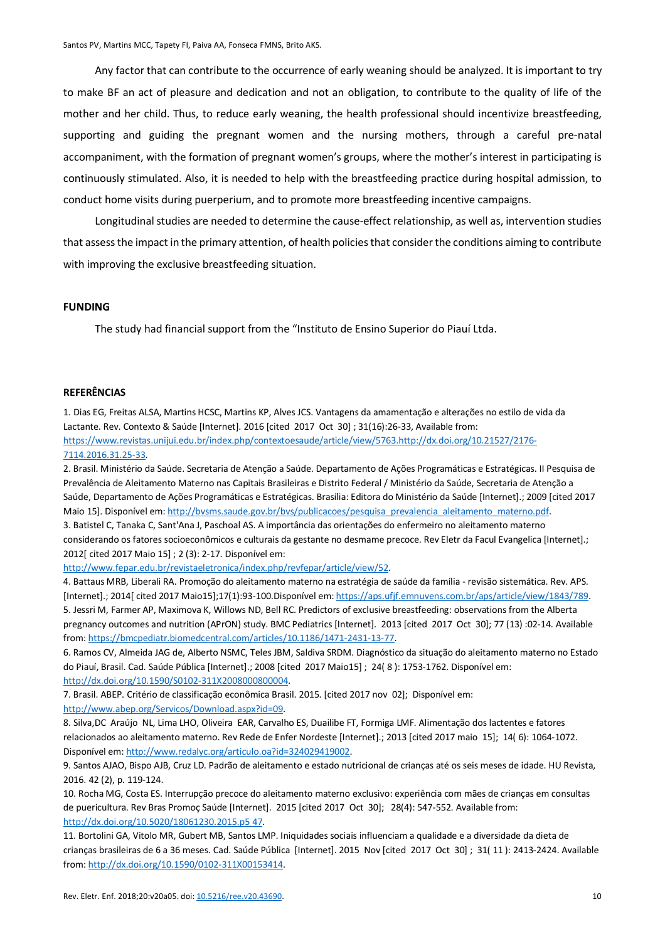Any factor that can contribute to the occurrence of early weaning should be analyzed. It is important to try to make BF an act of pleasure and dedication and not an obligation, to contribute to the quality of life of the mother and her child. Thus, to reduce early weaning, the health professional should incentivize breastfeeding, supporting and guiding the pregnant women and the nursing mothers, through a careful pre-natal accompaniment, with the formation of pregnant women's groups, where the mother's interest in participating is continuously stimulated. Also, it is needed to help with the breastfeeding practice during hospital admission, to conduct home visits during puerperium, and to promote more breastfeeding incentive campaigns.

Longitudinal studies are needed to determine the cause-effect relationship, as well as, intervention studies that assess the impact in the primary attention, of health policies that consider the conditions aiming to contribute with improving the exclusive breastfeeding situation.

#### **FUNDING**

The study had financial support from the "Instituto de Ensino Superior do Piauí Ltda.

## **REFERÊNCIAS**

1. Dias EG, Freitas ALSA, Martins HCSC, Martins KP, Alves JCS. Vantagens da amamentação e alterações no estilo de vida da Lactante. Rev. Contexto & Saúde [Internet]. 2016 [cited 2017 Oct 30] ; 31(16):26-33, Available from: https://www.revistas.unijui.edu.br/index.php/contextoesaude/article/view/5763.http://dx.doi.org/10.21527/2176- 7114.2016.31.25-33.

2. Brasil. Ministério da Saúde. Secretaria de Atenção a Saúde. Departamento de Ações Programáticas e Estratégicas. II Pesquisa de Prevalência de Aleitamento Materno nas Capitais Brasileiras e Distrito Federal / Ministério da Saúde, Secretaria de Atenção a Saúde, Departamento de Ações Programáticas e Estratégicas. Brasília: Editora do Ministério da Saúde [Internet].; 2009 [cited 2017 Maio 15]. Disponível em: http://bysms.saude.gov.br/bys/publicacoes/pesquisa\_prevalencia\_aleitamento\_materno.pdf. 3. Batistel C, Tanaka C, Sant'Ana J, Paschoal AS. A importância das orientações do enfermeiro no aleitamento materno considerando os fatores socioeconômicos e culturais da gestante no desmame precoce. Rev Eletr da Facul Evangelica [Internet].;

2012[ cited 2017 Maio 15] ; 2 (3): 2-17. Disponível em:

http://www.fepar.edu.br/revistaeletronica/index.php/revfepar/article/view/52.

4. Battaus MRB, Liberali RA. Promoção do aleitamento materno na estratégia de saúde da família - revisão sistemática. Rev. APS. [Internet].; 2014[ cited 2017 Maio15];17(1):93-100.Disponível em: https://aps.ufjf.emnuvens.com.br/aps/article/view/1843/789. 5. Jessri M, Farmer AP, Maximova K, Willows ND, Bell RC. Predictors of exclusive breastfeeding: observations from the Alberta pregnancy outcomes and nutrition (APrON) study. BMC Pediatrics [Internet]. 2013 [cited 2017 Oct 30]; 77 (13) :02-14. Available

from: https://bmcpediatr.biomedcentral.com/articles/10.1186/1471-2431-13-77.

6. Ramos CV, Almeida JAG de, Alberto NSMC, Teles JBM, Saldiva SRDM. Diagnóstico da situação do aleitamento materno no Estado do Piauí, Brasil. Cad. Saúde Pública [Internet].; 2008 [cited 2017 Maio15] ; 24( 8 ): 1753-1762. Disponível em: http://dx.doi.org/10.1590/S0102-311X2008000800004.

7. Brasil. ABEP. Critério de classificação econômica Brasil. 2015. [cited 2017 nov 02]; Disponível em: http://www.abep.org/Servicos/Download.aspx?id=09.

8. Silva,DC Araújo NL, Lima LHO, Oliveira EAR, Carvalho ES, Duailibe FT, Formiga LMF. Alimentação dos lactentes e fatores relacionados ao aleitamento materno. Rev Rede de Enfer Nordeste [Internet].; 2013 [cited 2017 maio 15]; 14( 6): 1064-1072. Disponível em: http://www.redalyc.org/articulo.oa?id=324029419002.

9. Santos AJAO, Bispo AJB, Cruz LD. Padrão de aleitamento e estado nutricional de crianças até os seis meses de idade. HU Revista, 2016. 42 (2), p. 119-124.

10. Rocha MG, Costa ES. Interrupção precoce do aleitamento materno exclusivo: experiência com mães de crianças em consultas de puericultura. Rev Bras Promoç Saúde [Internet]. 2015 [cited 2017 Oct 30]; 28(4): 547-552. Available from: http://dx.doi.org/10.5020/18061230.2015.p5 47.

11. Bortolini GA, Vitolo MR, Gubert MB, Santos LMP. Iniquidades sociais influenciam a qualidade e a diversidade da dieta de crianças brasileiras de 6 a 36 meses. Cad. Saúde Pública [Internet]. 2015 Nov [cited 2017 Oct 30] ; 31( 11 ): 2413-2424. Available from: http://dx.doi.org/10.1590/0102-311X00153414.